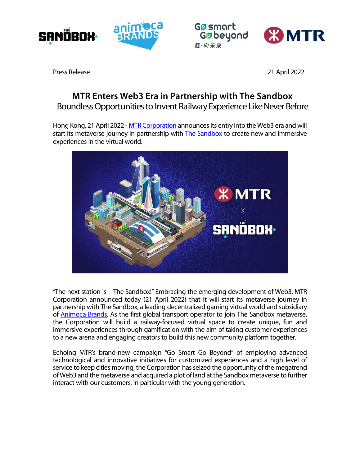



**G**asmart Gøbeyond 載·向未來



Press Release 21 April 2022

## **MTR Enters Web3 Era in Partnership with The Sandbox** *Boundless Opportunities to Invent Railway Experience Like Never Before*

Hong Kong, 21 April 2022 - [MTR Corporation](https://www.mtr.com.hk/en/corporate/main/index.html) announces its entry into the Web3 era and will start its metaverse journey in partnership wit[h The Sandbox](https://www.sandbox.game/) to create new and immersive experiences in the virtual world.



"The next station is – The Sandbox!" Embracing the emerging development of Web3, MTR Corporation announced today (21 April 2022) that it will start its metaverse journey in partnership with The Sandbox, a leading decentralized gaming virtual world and subsidiary of [Animoca Brands.](https://www.animocabrands.com/) As the first global transport operator to join The Sandbox metaverse, the Corporation will build a railway-focused virtual space to create unique, fun and immersive experiences through gamification with the aim of taking customer experiences to a new arena and engaging creators to build this new community platform together.

Echoing MTR's brand-new campaign "Go Smart Go Beyond" of employing advanced technological and innovative initiatives for customized experiences and a high level of service to keep cities moving, the Corporation has seized the opportunity of the megatrend of Web3 and the metaverse and acquired a plot of land at the Sandbox metaverse to further interact with our customers, in particular with the young generation.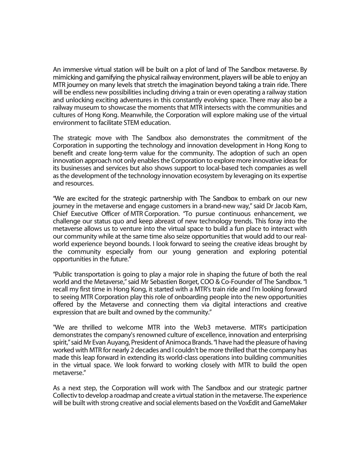An immersive virtual station will be built on a plot of land of The Sandbox metaverse. By mimicking and gamifying the physical railway environment, players will be able to enjoy an MTR journey on many levels that stretch the imagination beyond taking a train ride. There will be endless new possibilities including driving a train or even operating a railway station and unlocking exciting adventures in this constantly evolving space. There may also be a railway museum to showcase the moments that MTR intersects with the communities and cultures of Hong Kong. Meanwhile, the Corporation will explore making use of the virtual environment to facilitate STEM education.

The strategic move with The Sandbox also demonstrates the commitment of the Corporation in supporting the technology and innovation development in Hong Kong to benefit and create long-term value for the community. The adoption of such an open innovation approach not only enables the Corporation to explore more innovative ideas for its businesses and services but also shows support to local-based tech companies as well as the development of the technology innovation ecosystem by leveraging on its expertise and resources.

"We are excited for the strategic partnership with The Sandbox to embark on our new journey in the metaverse and engage customers in a brand-new way," said Dr Jacob Kam, Chief Executive Officer of MTR Corporation. "To pursue continuous enhancement, we challenge our status quo and keep abreast of new technology trends. This foray into the metaverse allows us to venture into the virtual space to build a fun place to interact with our community while at the same time also seize opportunities that would add to our realworld experience beyond bounds. I look forward to seeing the creative ideas brought by the community especially from our young generation and exploring potential opportunities in the future."

"Public transportation is going to play a major role in shaping the future of both the real world and the Metaverse," said Mr Sebastien Borget, COO & Co-Founder of The Sandbox. "I recall my first time in Hong Kong, it started with a MTR's train ride and I'm looking forward to seeing MTR Corporation play this role of onboarding people into the new opportunities offered by the Metaverse and connecting them via digital interactions and creative expression that are built and owned by the community."

"We are thrilled to welcome MTR into the Web3 metaverse. MTR's participation demonstrates the company's renowned culture of excellence, innovation and enterprising spirit," said Mr Evan Auyang, President of Animoca Brands. "I have had the pleasure of having worked with MTR for nearly 2 decades and I couldn't be more thrilled that the company has made this leap forward in extending its world-class operations into building communities in the virtual space. We look forward to working closely with MTR to build the open metaverse."

As a next step, the Corporation will work with The Sandbox and our strategic partner Collectiv to develop a roadmap and create a virtual station in the metaverse. The experience will be built with strong creative and social elements based on the VoxEdit and GameMaker